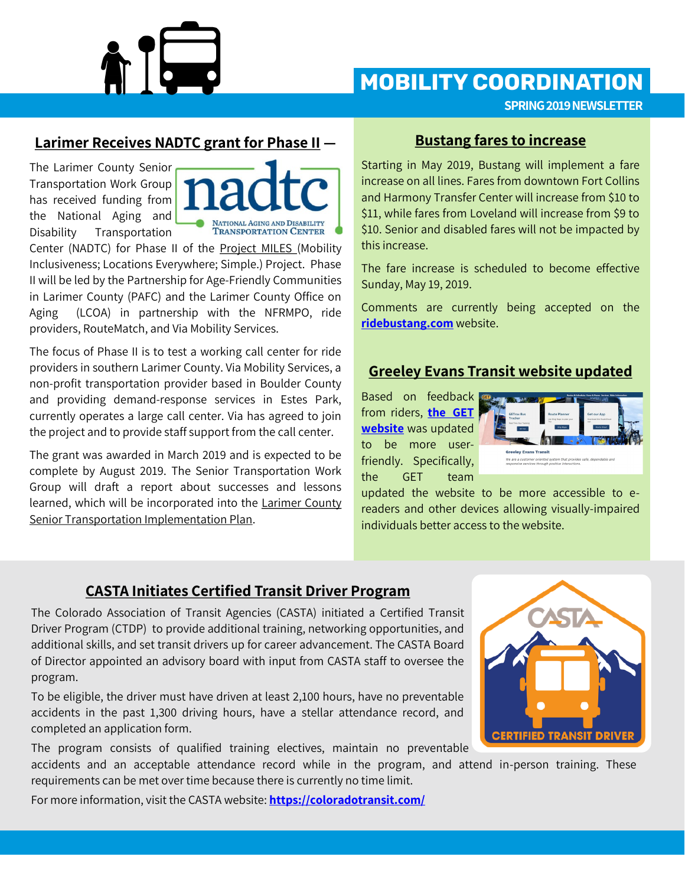

## **MOBILITY COORDINATION**

**SPRING 2019 NEWSLETTER**

#### **Larimer Receives NADTC grant for Phase II —**

The Larimer County Senior Transportation Work Group has received funding from the National Aging and Disability Transportation



Center (NADTC) for Phase II of the Project MILES (Mobility Inclusiveness; Locations Everywhere; Simple.) Project. Phase II will be led by the Partnership for Age-Friendly Communities in Larimer County (PAFC) and the Larimer County Office on Aging (LCOA) in partnership with the NFRMPO, ride providers, RouteMatch, and Via Mobility Services.

The focus of Phase II is to test a working call center for ride providers in southern Larimer County. Via Mobility Services, a non-profit transportation provider based in Boulder County and providing demand-response services in Estes Park, currently operates a large call center. Via has agreed to join the project and to provide staff support from the call center.

The grant was awarded in March 2019 and is expected to be complete by August 2019. The Senior Transportation Work Group will draft a report about successes and lessons learned, which will be incorporated into the Larimer County Senior Transportation Implementation Plan.

#### **Bustang fares to increase**

Starting in May 2019, Bustang will implement a fare increase on all lines. Fares from downtown Fort Collins and Harmony Transfer Center will increase from \$10 to \$11, while fares from Loveland will increase from \$9 to \$10. Senior and disabled fares will not be impacted by this increase.

The fare increase is scheduled to become effective Sunday, May 19, 2019.

Comments are currently being accepted on the **[ridebustang.com](http://ridebustang.com)** website.

#### **Greeley Evans Transit website updated**

Based on feedback from riders, **[the GET](http://greeleyevanstransit.com/)  [website](http://greeleyevanstransit.com/)** was updated to be more userfriendly. Specifically, the GET team



updated the website to be more accessible to ereaders and other devices allowing visually-impaired individuals better access to the website.

#### **CASTA Initiates Certified Transit Driver Program**

The Colorado Association of Transit Agencies (CASTA) initiated a Certified Transit Driver Program (CTDP) to provide additional training, networking opportunities, and additional skills, and set transit drivers up for career advancement. The CASTA Board of Director appointed an advisory board with input from CASTA staff to oversee the program.

To be eligible, the driver must have driven at least 2,100 hours, have no preventable accidents in the past 1,300 driving hours, have a stellar attendance record, and completed an application form.

The program consists of qualified training electives, maintain no preventable accidents and an acceptable attendance record while in the program, and attend in-person training. These



requirements can be met over time because there is currently no time limit. For more information, visit the CASTA website: **<https://coloradotransit.com/>**